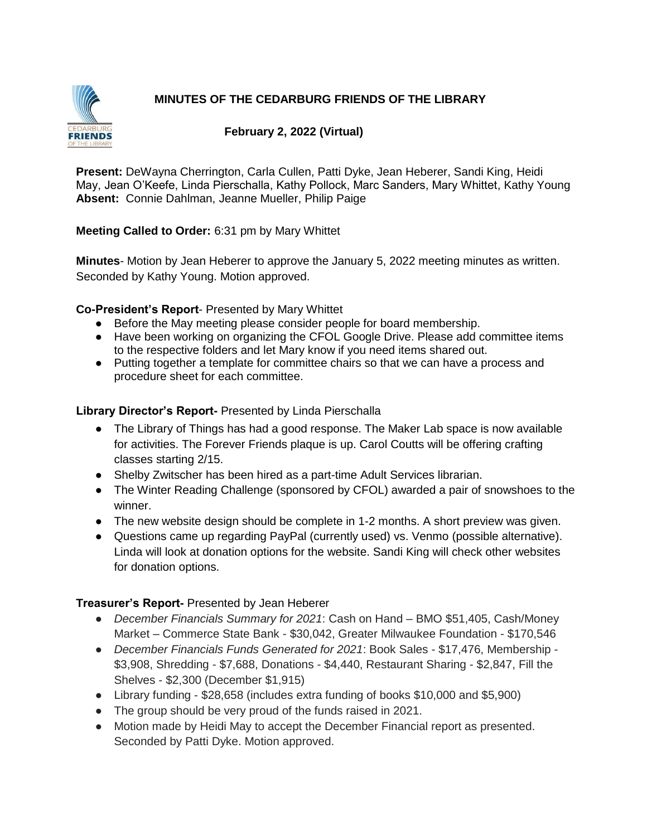# **MINUTES OF THE CEDARBURG FRIENDS OF THE LIBRARY**



#### **February 2, 2022 (Virtual)**

**Present:** DeWayna Cherrington, Carla Cullen, Patti Dyke, Jean Heberer, Sandi King, Heidi May, Jean O'Keefe, Linda Pierschalla, Kathy Pollock, Marc Sanders, Mary Whittet, Kathy Young **Absent:** Connie Dahlman, Jeanne Mueller, Philip Paige

#### **Meeting Called to Order:** 6:31 pm by Mary Whittet

**Minutes**- Motion by Jean Heberer to approve the January 5, 2022 meeting minutes as written. Seconded by Kathy Young. Motion approved.

### **Co-President's Report**- Presented by Mary Whittet

- Before the May meeting please consider people for board membership.
- Have been working on organizing the CFOL Google Drive. Please add committee items to the respective folders and let Mary know if you need items shared out.
- Putting together a template for committee chairs so that we can have a process and procedure sheet for each committee.

### **Library Director's Report-** Presented by Linda Pierschalla

- The Library of Things has had a good response. The Maker Lab space is now available for activities. The Forever Friends plaque is up. Carol Coutts will be offering crafting classes starting 2/15.
- Shelby Zwitscher has been hired as a part-time Adult Services librarian.
- The Winter Reading Challenge (sponsored by CFOL) awarded a pair of snowshoes to the winner.
- The new website design should be complete in 1-2 months. A short preview was given.
- Questions came up regarding PayPal (currently used) vs. Venmo (possible alternative). Linda will look at donation options for the website. Sandi King will check other websites for donation options.

## **Treasurer's Report-** Presented by Jean Heberer

- *December Financials Summary for 2021*: Cash on Hand BMO \$51,405, Cash/Money Market – Commerce State Bank - \$30,042, Greater Milwaukee Foundation - \$170,546
- *December Financials Funds Generated for 2021*: Book Sales \$17,476, Membership \$3,908, Shredding - \$7,688, Donations - \$4,440, Restaurant Sharing - \$2,847, Fill the Shelves - \$2,300 (December \$1,915)
- Library funding \$28,658 (includes extra funding of books \$10,000 and \$5,900)
- The group should be very proud of the funds raised in 2021.
- Motion made by Heidi May to accept the December Financial report as presented. Seconded by Patti Dyke. Motion approved.